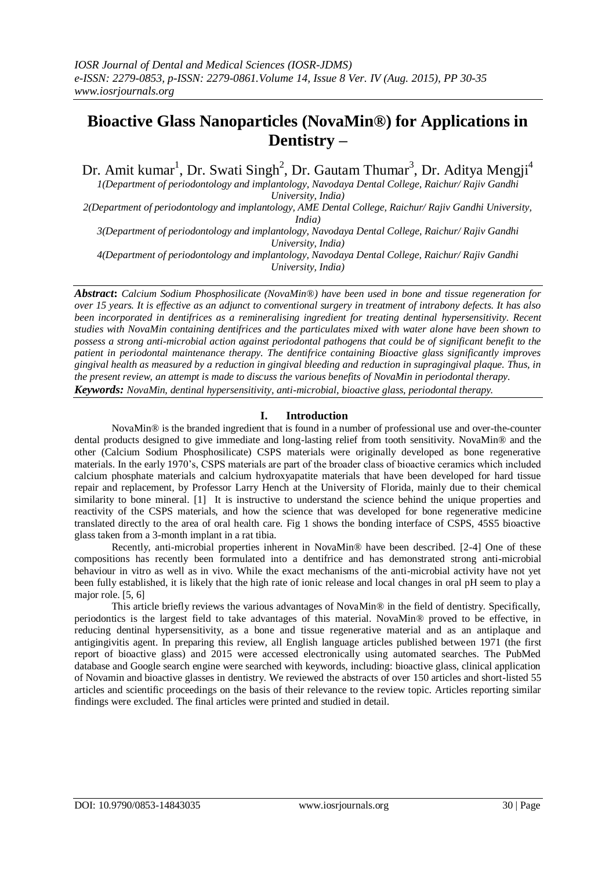# **Bioactive Glass Nanoparticles (NovaMin®) for Applications in Dentistry –**

Dr. Amit kumar<sup>1</sup>, Dr. Swati Singh<sup>2</sup>, Dr. Gautam Thumar<sup>3</sup>, Dr. Aditya Mengji<sup>4</sup>

*1(Department of periodontology and implantology, Navodaya Dental College, Raichur/ Rajiv Gandhi University, India)*

*2(Department of periodontology and implantology, AME Dental College, Raichur/ Rajiv Gandhi University, India)*

*3(Department of periodontology and implantology, Navodaya Dental College, Raichur/ Rajiv Gandhi University, India)*

*4(Department of periodontology and implantology, Navodaya Dental College, Raichur/ Rajiv Gandhi University, India)*

*Abstract***:** *Calcium Sodium Phosphosilicate (NovaMin®) have been used in bone and tissue regeneration for over 15 years. It is effective as an adjunct to conventional surgery in treatment of intrabony defects. It has also been incorporated in dentifrices as a remineralising ingredient for treating dentinal hypersensitivity. Recent studies with NovaMin containing dentifrices and the particulates mixed with water alone have been shown to possess a strong anti-microbial action against periodontal pathogens that could be of significant benefit to the patient in periodontal maintenance therapy. The dentifrice containing Bioactive glass significantly improves gingival health as measured by a reduction in gingival bleeding and reduction in supragingival plaque. Thus, in the present review, an attempt is made to discuss the various benefits of NovaMin in periodontal therapy. Keywords: NovaMin, dentinal hypersensitivity, anti-microbial, bioactive glass, periodontal therapy.*

#### **I. Introduction**

NovaMin® is the branded ingredient that is found in a number of professional use and over-the-counter dental products designed to give immediate and long-lasting relief from tooth sensitivity. NovaMin® and the other (Calcium Sodium Phosphosilicate) CSPS materials were originally developed as bone regenerative materials. In the early 1970's, CSPS materials are part of the broader class of bioactive ceramics which included calcium phosphate materials and calcium hydroxyapatite materials that have been developed for hard tissue repair and replacement, by Professor Larry Hench at the University of Florida, mainly due to their chemical similarity to bone mineral. [1] It is instructive to understand the science behind the unique properties and reactivity of the CSPS materials, and how the science that was developed for bone regenerative medicine translated directly to the area of oral health care. Fig 1 shows the bonding interface of CSPS, 45S5 bioactive glass taken from a 3-month implant in a rat tibia.

Recently, anti-microbial properties inherent in NovaMin® have been described. [2-4] One of these compositions has recently been formulated into a dentifrice and has demonstrated strong anti-microbial behaviour in vitro as well as in vivo. While the exact mechanisms of the anti-microbial activity have not yet been fully established, it is likely that the high rate of ionic release and local changes in oral pH seem to play a major role. [5, 6]

This article briefly reviews the various advantages of NovaMin® in the field of dentistry. Specifically, periodontics is the largest field to take advantages of this material. NovaMin® proved to be effective, in reducing dentinal hypersensitivity, as a bone and tissue regenerative material and as an antiplaque and antigingivitis agent. In preparing this review, all English language articles published between 1971 (the first report of bioactive glass) and 2015 were accessed electronically using automated searches. The PubMed database and Google search engine were searched with keywords, including: bioactive glass, clinical application of Novamin and bioactive glasses in dentistry. We reviewed the abstracts of over 150 articles and short-listed 55 articles and scientific proceedings on the basis of their relevance to the review topic. Articles reporting similar findings were excluded. The final articles were printed and studied in detail.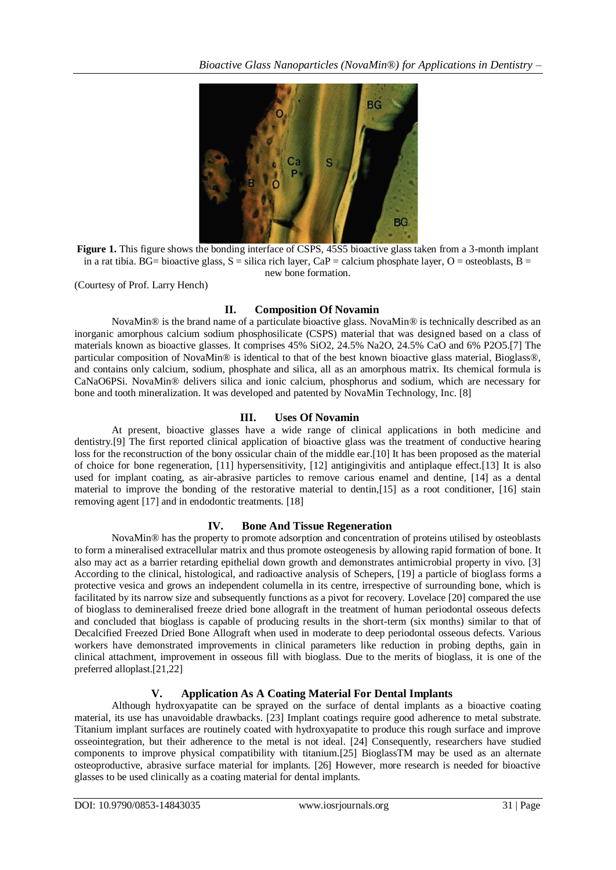

Figure 1. This figure shows the bonding interface of CSPS, 45S5 bioactive glass taken from a 3-month implant in a rat tibia. BG= bioactive glass, S = silica rich layer, CaP = calcium phosphate layer, O = osteoblasts, B = new bone formation.

(Courtesy of Prof. Larry Hench)

## **II. Composition Of Novamin**

NovaMin® is the brand name of a particulate bioactive glass. NovaMin® is technically described as an inorganic amorphous calcium sodium phosphosilicate (CSPS) material that was designed based on a class of materials known as bioactive glasses. It comprises 45% SiO2, 24.5% Na2O, 24.5% CaO and 6% P2O5.[7] The particular composition of NovaMin® is identical to that of the best known bioactive glass material, Bioglass®, and contains only calcium, sodium, phosphate and silica, all as an amorphous matrix. Its chemical formula is CaNaO6PSi. NovaMin® delivers silica and ionic calcium, phosphorus and sodium, which are necessary for bone and tooth mineralization. It was developed and patented by NovaMin Technology, Inc. [8]

## **III. Uses Of Novamin**

At present, bioactive glasses have a wide range of clinical applications in both medicine and dentistry.[9] The first reported clinical application of bioactive glass was the treatment of conductive hearing loss for the reconstruction of the bony ossicular chain of the middle ear.<sup>[10]</sup> It has been proposed as the material of choice for bone regeneration, [11] hypersensitivity, [12] antigingivitis and antiplaque effect.[13] It is also used for implant coating, as air-abrasive particles to remove carious enamel and dentine, [14] as a dental material to improve the bonding of the restorative material to dentin,[15] as a root conditioner, [16] stain removing agent [17] and in endodontic treatments. [18]

# **IV. Bone And Tissue Regeneration**

NovaMin® has the property to promote adsorption and concentration of proteins utilised by osteoblasts to form a mineralised extracellular matrix and thus promote osteogenesis by allowing rapid formation of bone. It also may act as a barrier retarding epithelial down growth and demonstrates antimicrobial property in vivo. [3] According to the clinical, histological, and radioactive analysis of Schepers, [19] a particle of bioglass forms a protective vesica and grows an independent columella in its centre, irrespective of surrounding bone, which is facilitated by its narrow size and subsequently functions as a pivot for recovery. Lovelace [20] compared the use of bioglass to demineralised freeze dried bone allograft in the treatment of human periodontal osseous defects and concluded that bioglass is capable of producing results in the short-term (six months) similar to that of Decalcified Freezed Dried Bone Allograft when used in moderate to deep periodontal osseous defects. Various workers have demonstrated improvements in clinical parameters like reduction in probing depths, gain in clinical attachment, improvement in osseous fill with bioglass. Due to the merits of bioglass, it is one of the preferred alloplast.[21,22]

# **V. Application As A Coating Material For Dental Implants**

Although hydroxyapatite can be sprayed on the surface of dental implants as a bioactive coating material, its use has unavoidable drawbacks. [23] Implant coatings require good adherence to metal substrate. Titanium implant surfaces are routinely coated with hydroxyapatite to produce this rough surface and improve osseointegration, but their adherence to the metal is not ideal. [24] Consequently, researchers have studied components to improve physical compatibility with titanium.[25] BioglassTM may be used as an alternate osteoproductive, abrasive surface material for implants. [26] However, more research is needed for bioactive glasses to be used clinically as a coating material for dental implants.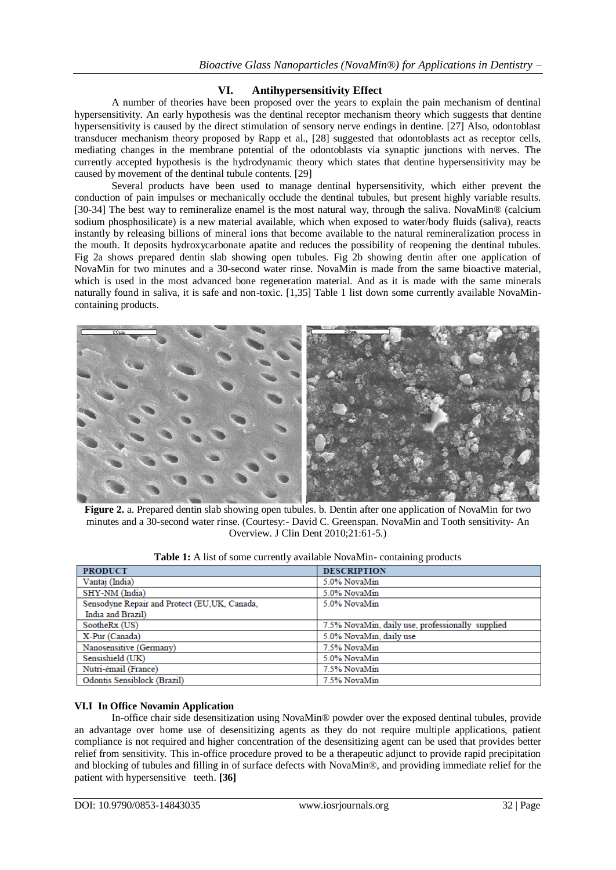#### **VI. Antihypersensitivity Effect**

A number of theories have been proposed over the years to explain the pain mechanism of dentinal hypersensitivity. An early hypothesis was the dentinal receptor mechanism theory which suggests that dentine hypersensitivity is caused by the direct stimulation of sensory nerve endings in dentine. [27] Also, odontoblast transducer mechanism theory proposed by Rapp et al., [28] suggested that odontoblasts act as receptor cells, mediating changes in the membrane potential of the odontoblasts via synaptic junctions with nerves. The currently accepted hypothesis is the hydrodynamic theory which states that dentine hypersensitivity may be caused by movement of the dentinal tubule contents. [29]

Several products have been used to manage dentinal hypersensitivity, which either prevent the conduction of pain impulses or mechanically occlude the dentinal tubules, but present highly variable results. [30-34] The best way to remineralize enamel is the most natural way, through the saliva. NovaMin® (calcium sodium phosphosilicate) is a new material available, which when exposed to water/body fluids (saliva), reacts instantly by releasing billions of mineral ions that become available to the natural remineralization process in the mouth. It deposits hydroxycarbonate apatite and reduces the possibility of reopening the dentinal tubules. Fig 2a shows prepared dentin slab showing open tubules. Fig 2b showing dentin after one application of NovaMin for two minutes and a 30-second water rinse. NovaMin is made from the same bioactive material, which is used in the most advanced bone regeneration material. And as it is made with the same minerals naturally found in saliva, it is safe and non-toxic. [1,35] Table 1 list down some currently available NovaMincontaining products.



**Figure 2.** a. Prepared dentin slab showing open tubules. b. Dentin after one application of NovaMin for two minutes and a 30-second water rinse. (Courtesy:- David C. Greenspan. NovaMin and Tooth sensitivity- An Overview. J Clin Dent 2010;21:61-5.)

| <b>PRODUCT</b>                               | <b>DESCRIPTION</b>                               |
|----------------------------------------------|--------------------------------------------------|
| Vantaj (India)                               | 5.0% NovaMin                                     |
| SHY-NM (India)                               | 5.0% NovaMin                                     |
| Sensodyne Repair and Protect (EU,UK, Canada, | 5.0% NovaMin                                     |
| India and Brazil)                            |                                                  |
| SootheRx (US)                                | 7.5% NovaMin, daily use, professionally supplied |
| X-Pur (Canada)                               | 5.0% NovaMin, daily use                          |
| Nanosensitive (Germany)                      | 7.5% NovaMin                                     |
| Sensishield (UK)                             | 5.0% NovaMin                                     |
| Nutri-émail (France)                         | 7.5% NovaMin                                     |
| Odontis Sensiblock (Brazil)                  | 7.5% NovaMin                                     |

**Table 1:** A list of some currently available NovaMin- containing products

#### **VI.I In Office Novamin Application**

In-office chair side desensitization using NovaMin® powder over the exposed dentinal tubules, provide an advantage over home use of desensitizing agents as they do not require multiple applications, patient compliance is not required and higher concentration of the desensitizing agent can be used that provides better relief from sensitivity. This in-office procedure proved to be a therapeutic adjunct to provide rapid precipitation and blocking of tubules and filling in of surface defects with NovaMin®, and providing immediate relief for the patient with hypersensitive teeth. **[36]**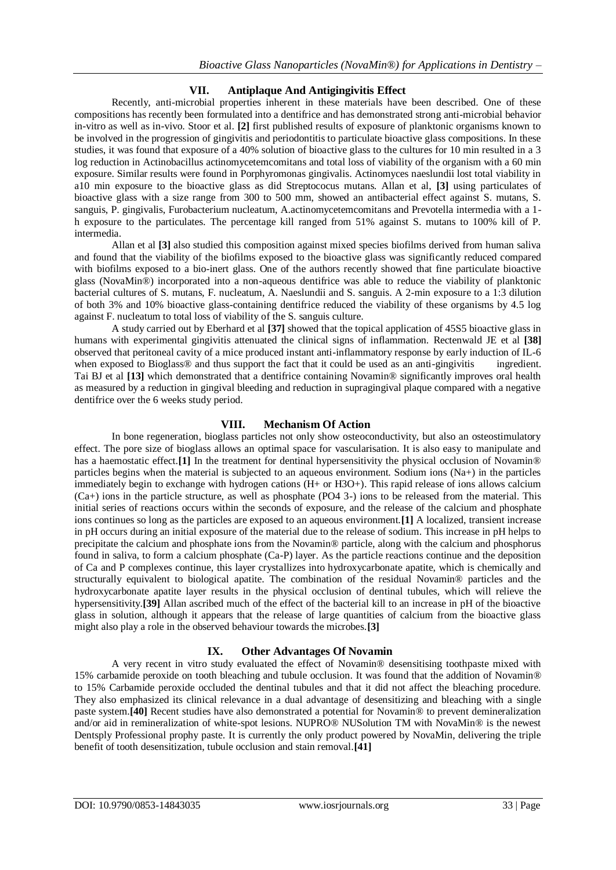# **VII. Antiplaque And Antigingivitis Effect**

Recently, anti-microbial properties inherent in these materials have been described. One of these compositions has recently been formulated into a dentifrice and has demonstrated strong anti-microbial behavior in-vitro as well as in-vivo. Stoor et al. **[2]** first published results of exposure of planktonic organisms known to be involved in the progression of gingivitis and periodontitis to particulate bioactive glass compositions. In these studies, it was found that exposure of a 40% solution of bioactive glass to the cultures for 10 min resulted in a 3 log reduction in Actinobacillus actinomycetemcomitans and total loss of viability of the organism with a 60 min exposure. Similar results were found in Porphyromonas gingivalis. Actinomyces naeslundii lost total viability in a10 min exposure to the bioactive glass as did Streptococus mutans. Allan et al, **[3]** using particulates of bioactive glass with a size range from 300 to 500 mm, showed an antibacterial effect against S. mutans, S. sanguis, P. gingivalis, Furobacterium nucleatum, A.actinomycetemcomitans and Prevotella intermedia with a 1 h exposure to the particulates. The percentage kill ranged from 51% against S. mutans to 100% kill of P. intermedia.

Allan et al **[3]** also studied this composition against mixed species biofilms derived from human saliva and found that the viability of the biofilms exposed to the bioactive glass was significantly reduced compared with biofilms exposed to a bio-inert glass. One of the authors recently showed that fine particulate bioactive glass (NovaMin®) incorporated into a non-aqueous dentifrice was able to reduce the viability of planktonic bacterial cultures of S. mutans, F. nucleatum, A. Naeslundii and S. sanguis. A 2-min exposure to a 1:3 dilution of both 3% and 10% bioactive glass-containing dentifrice reduced the viability of these organisms by 4.5 log against F. nucleatum to total loss of viability of the S. sanguis culture.

A study carried out by Eberhard et al **[37]** showed that the topical application of 45S5 bioactive glass in humans with experimental gingivitis attenuated the clinical signs of inflammation. Rectenwald JE et al **[38]** observed that peritoneal cavity of a mice produced instant anti-inflammatory response by early induction of IL-6 when exposed to Bioglass® and thus support the fact that it could be used as an anti-gingivitis ingredient. Tai BJ et al **[13]** which demonstrated that a dentifrice containing Novamin® significantly improves oral health as measured by a reduction in gingival bleeding and reduction in supragingival plaque compared with a negative dentifrice over the 6 weeks study period.

#### **VIII. Mechanism Of Action**

In bone regeneration, bioglass particles not only show osteoconductivity, but also an osteostimulatory effect. The pore size of bioglass allows an optimal space for vascularisation. It is also easy to manipulate and has a haemostatic effect.<sup>[1]</sup> In the treatment for dentinal hypersensitivity the physical occlusion of Novamin<sup>®</sup> particles begins when the material is subjected to an aqueous environment. Sodium ions (Na+) in the particles immediately begin to exchange with hydrogen cations (H+ or H3O+). This rapid release of ions allows calcium (Ca+) ions in the particle structure, as well as phosphate (PO4 3-) ions to be released from the material. This initial series of reactions occurs within the seconds of exposure, and the release of the calcium and phosphate ions continues so long as the particles are exposed to an aqueous environment.**[1]** A localized, transient increase in pH occurs during an initial exposure of the material due to the release of sodium. This increase in pH helps to precipitate the calcium and phosphate ions from the Novamin® particle, along with the calcium and phosphorus found in saliva, to form a calcium phosphate (Ca-P) layer. As the particle reactions continue and the deposition of Ca and P complexes continue, this layer crystallizes into hydroxycarbonate apatite, which is chemically and structurally equivalent to biological apatite. The combination of the residual Novamin® particles and the hydroxycarbonate apatite layer results in the physical occlusion of dentinal tubules, which will relieve the hypersensitivity.**[39]** Allan ascribed much of the effect of the bacterial kill to an increase in pH of the bioactive glass in solution, although it appears that the release of large quantities of calcium from the bioactive glass might also play a role in the observed behaviour towards the microbes.**[3]**

#### **IX. Other Advantages Of Novamin**

A very recent in vitro study evaluated the effect of Novamin® desensitising toothpaste mixed with 15% carbamide peroxide on tooth bleaching and tubule occlusion. It was found that the addition of Novamin® to 15% Carbamide peroxide occluded the dentinal tubules and that it did not affect the bleaching procedure. They also emphasized its clinical relevance in a dual advantage of desensitizing and bleaching with a single paste system.**[40]** Recent studies have also demonstrated a potential for Novamin® to prevent demineralization and/or aid in remineralization of white-spot lesions. NUPRO® NUSolution TM with NovaMin® is the newest Dentsply Professional prophy paste. It is currently the only product powered by NovaMin, delivering the triple benefit of tooth desensitization, tubule occlusion and stain removal.**[41]**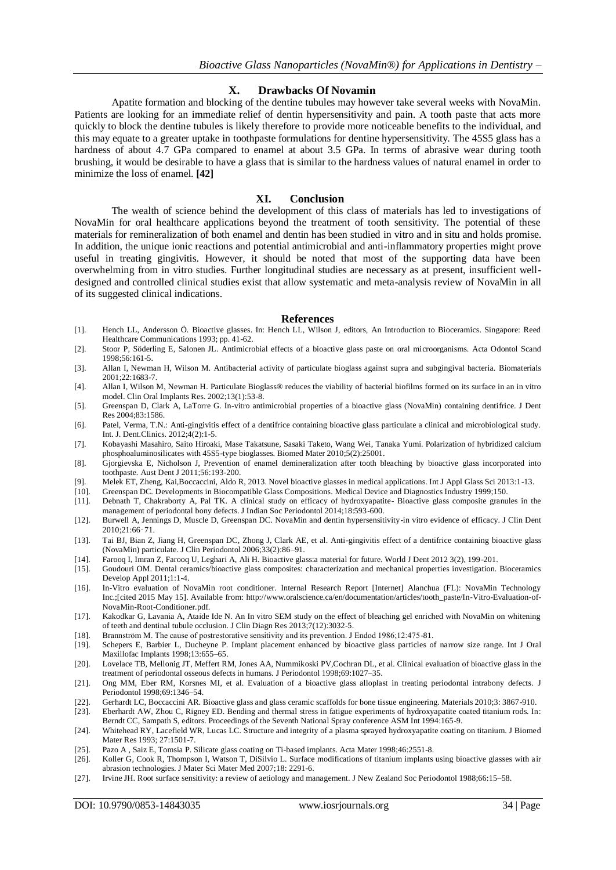#### **X. Drawbacks Of Novamin**

Apatite formation and blocking of the dentine tubules may however take several weeks with NovaMin. Patients are looking for an immediate relief of dentin hypersensitivity and pain. A tooth paste that acts more quickly to block the dentine tubules is likely therefore to provide more noticeable benefits to the individual, and this may equate to a greater uptake in toothpaste formulations for dentine hypersensitivity. The 45S5 glass has a hardness of about 4.7 GPa compared to enamel at about 3.5 GPa. In terms of abrasive wear during tooth brushing, it would be desirable to have a glass that is similar to the hardness values of natural enamel in order to minimize the loss of enamel. **[42]**

#### **XI. Conclusion**

The wealth of science behind the development of this class of materials has led to investigations of NovaMin for oral healthcare applications beyond the treatment of tooth sensitivity. The potential of these materials for remineralization of both enamel and dentin has been studied in vitro and in situ and holds promise. In addition, the unique ionic reactions and potential antimicrobial and anti-inflammatory properties might prove useful in treating gingivitis. However, it should be noted that most of the supporting data have been overwhelming from in vitro studies. Further longitudinal studies are necessary as at present, insufficient welldesigned and controlled clinical studies exist that allow systematic and meta-analysis review of NovaMin in all of its suggested clinical indications.

#### **References**

- [1]. Hench LL, Andersson Ö. Bioactive glasses. In: Hench LL, Wilson J, editors, An Introduction to Bioceramics. Singapore: Reed Healthcare Communications 1993; pp. 41-62.
- [2]. Stoor P, Söderling E, Salonen JL. Antimicrobial effects of a bioactive glass paste on oral microorganisms. Acta Odontol Scand 1998;56:161-5.
- [3]. Allan I, Newman H, Wilson M. Antibacterial activity of particulate bioglass against supra and subgingival bacteria. Biomaterials 2001;22:1683-7.
- [4]. Allan I, Wilson M, Newman H. Particulate Bioglass® reduces the viability of bacterial biofilms formed on its surface in an in vitro model. Clin Oral Implants Res. 2002;13(1):53-8.
- [5]. Greenspan D, Clark A, LaTorre G. In-vitro antimicrobial properties of a bioactive glass (NovaMin) containing dentifrice. J Dent Res 2004;83:1586.
- [6]. Patel, Verma, T.N.: Anti-gingivitis effect of a dentifrice containing bioactive glass particulate a clinical and microbiological study. Int. J. Dent.Clinics. 2012;4(2):1-5.
- [7]. Kobayashi Masahiro, Saito Hiroaki, Mase Takatsune, Sasaki Taketo, Wang Wei, Tanaka Yumi. Polarization of hybridized calcium phosphoaluminosilicates with 45S5-type bioglasses. Biomed Mater 2010;5(2):25001.
- [8]. Gjorgievska E, Nicholson J, Prevention of enamel demineralization after tooth bleaching by bioactive glass incorporated into toothpaste. Aust Dent J 2011;56:193-200.
- [9]. Melek ET, Zheng, Kai,Boccaccini, Aldo R, 2013. Novel bioactive glasses in medical applications. Int J Appl Glass Sci 2013:1-13.
- [10]. Greenspan DC. Developments in Biocompatible Glass Compositions. Medical Device and Diagnostics Industry 1999;150.
- [11]. Debnath T, Chakraborty A, Pal TK. A clinical study on efficacy of hydroxyapatite- Bioactive glass composite granules in the management of periodontal bony defects. J Indian Soc Periodontol 2014;18:593-600.
- [12]. Burwell A, Jennings D, Muscle D, Greenspan DC. NovaMin and dentin hypersensitivity-in vitro evidence of efficacy. J Clin Dent 2010;21:66‑71.
- [13]. Tai BJ, Bian Z, Jiang H, Greenspan DC, Zhong J, Clark AE, et al. Anti-gingivitis effect of a dentifrice containing bioactive glass (NovaMin) particulate. J Clin Periodontol 2006;33(2):86–91.
- [14]. Farooq I, Imran Z, Farooq U, Leghari A, Ali H. Bioactive glass:a material for future. World J Dent 2012 3(2), 199-201.
- [15]. Goudouri OM. Dental ceramics/bioactive glass composites: characterization and mechanical properties investigation. Bioceramics Develop Appl 2011;1:1-4.
- [16]. In-Vitro evaluation of NovaMin root conditioner. Internal Research Report [Internet] Alanchua (FL): NovaMin Technology Inc.;[cited 2015 May 15]. Available from: http://www.oralscience.ca/en/documentation/articles/tooth\_paste/In-Vitro-Evaluation-of-NovaMin-Root-Conditioner.pdf.
- [17]. Kakodkar G, Lavania A, Ataide Ide N. An In vitro SEM study on the effect of bleaching gel enriched with NovaMin on whitening of teeth and dentinal tubule occlusion. J Clin Diagn Res 2013;7(12):3032-5.
- [18]. Brannström M. The cause of postrestorative sensitivity and its prevention. J Endod 1986;12:475-81.
- [19]. Schepers E, Barbier L, Ducheyne P. Implant placement enhanced by bioactive glass particles of narrow size range. Int J Oral Maxillofac Implants 1998;13:655–65.
- [20]. Lovelace TB, Mellonig JT, Meffert RM, Jones AA, Nummikoski PV,Cochran DL, et al. Clinical evaluation of bioactive glass in the treatment of periodontal osseous defects in humans. J Periodontol 1998;69:1027–35.
- [21]. Ong MM, Eber RM, Korsnes MI, et al. Evaluation of a bioactive glass alloplast in treating periodontal intrabony defects. J Periodontol 1998;69:1346–54.
- [22]. Gerhardt LC, Boccaccini AR. Bioactive glass and glass ceramic scaffolds for bone tissue engineering. Materials 2010;3: 3867-910.
- [23]. Eberhardt AW, Zhou C, Rigney ED. Bending and thermal stress in fatigue experiments of hydroxyapatite coated titanium rods. In: Berndt CC, Sampath S, editors. Proceedings of the Seventh National Spray conference ASM Int 1994:165-9.
- [24]. Whitehead RY, Lacefield WR, Lucas LC. Structure and integrity of a plasma sprayed hydroxyapatite coating on titanium. J Biomed Mater Res 1993; 27:1501-7.
- [25]. Pazo A , Saiz E, Tomsia P. Silicate glass coating on Ti-based implants. Acta Mater 1998;46:2551-8.
- [26]. Koller G, Cook R, Thompson I, Watson T, DiSilvio L. Surface modifications of titanium implants using bioactive glasses with air abrasion technologies. J Mater Sci Mater Med 2007;18: 2291-6.
- [27]. Irvine JH. Root surface sensitivity: a review of aetiology and management. J New Zealand Soc Periodontol 1988;66:15–58.